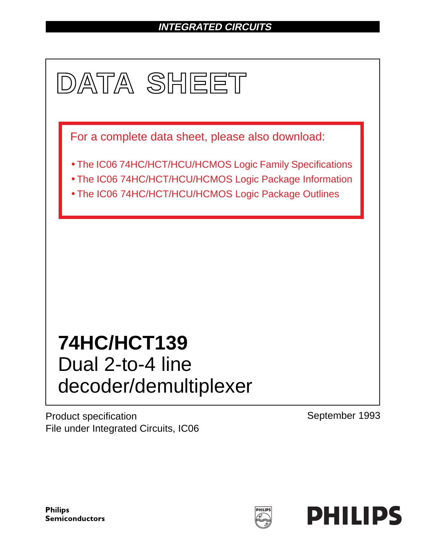# **INTEGRATED CIRCUITS**



Product specification File under Integrated Circuits, IC06 September 1993

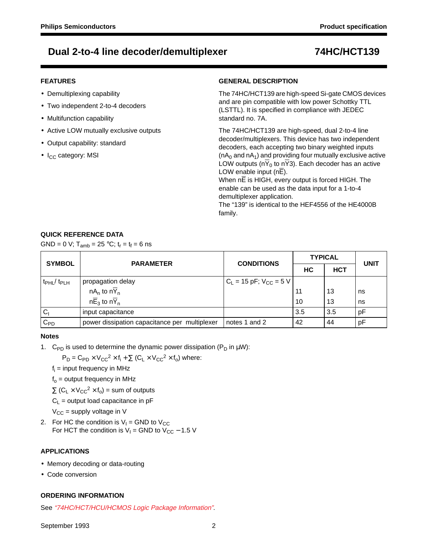### **FEATURES**

- Demultiplexing capability
- Two independent 2-to-4 decoders
- Multifunction capability
- Active LOW mutually exclusive outputs
- Output capability: standard
- $\bullet$  I<sub>CC</sub> category: MSI

### **GENERAL DESCRIPTION**

The 74HC/HCT139 are high-speed Si-gate CMOS devices and are pin compatible with low power Schottky TTL (LSTTL). It is specified in compliance with JEDEC standard no. 7A.

The 74HC/HCT139 are high-speed, dual 2-to-4 line decoder/multiplexers. This device has two independent decoders, each accepting two binary weighted inputs  $(nA<sub>0</sub>$  and nA<sub>1</sub>) and providing four mutually exclusive active LOW outputs ( $n\overline{Y}_0$  to  $n\overline{Y}_3$ ). Each decoder has an active LOW enable input (nE).

When  $n\overline{E}$  is HIGH, every output is forced HIGH. The enable can be used as the data input for a 1-to-4 demultiplexer application.

The "139" is identical to the HEF4556 of the HE4000B family.

## **QUICK REFERENCE DATA**

GND = 0 V;  $T_{amb}$  = 25 °C;  $t_r = t_f = 6$  ns

| <b>SYMBOL</b>                       | <b>PARAMETER</b>                              | <b>CONDITIONS</b>             | <b>TYPICAL</b> | <b>UNIT</b> |    |  |
|-------------------------------------|-----------------------------------------------|-------------------------------|----------------|-------------|----|--|
|                                     |                                               |                               | HC             | <b>HCT</b>  |    |  |
| t <sub>PHL</sub> / t <sub>PLH</sub> | propagation delay                             | $C_L$ = 15 pF; $V_{CC}$ = 5 V |                |             |    |  |
|                                     | $nA_n$ to $n\overline{Y}_n$                   |                               | 11             | 13          | ns |  |
|                                     | $n\overline{E}_3$ to $n\overline{Y}_n$        |                               | 10             | 13          | ns |  |
| C <sub>1</sub>                      | input capacitance                             |                               | 3.5            | 3.5         | рF |  |
| $C_{PD}$                            | power dissipation capacitance per multiplexer | notes 1 and 2                 | 42             | 44          | рF |  |

### **Notes**

1. C<sub>PD</sub> is used to determine the dynamic power dissipation (P<sub>D</sub> in  $\mu$ W):

 $P_D = C_{PD} \times V_{CC}^2 \times f_i + \sum (C_1 \times V_{CC}^2 \times f_0)$  where:

 $f_i$  = input frequency in MHz

 $f<sub>o</sub>$  = output frequency in MHz

 $\Sigma$  (C<sub>L</sub> × V<sub>CC</sub><sup>2</sup> × f<sub>o</sub>) = sum of outputs

 $C_1$  = output load capacitance in pF

 $V_{CC}$  = supply voltage in V

2. For HC the condition is  $V_1 =$  GND to  $V_{CC}$ For HCT the condition is  $V_1$  = GND to  $V_{CC}$  – 1.5 V

## **APPLICATIONS**

- Memory decoding or data-routing
- Code conversion

### **ORDERING INFORMATION**

See "74HC/HCT/HCU/HCMOS Logic Package Information".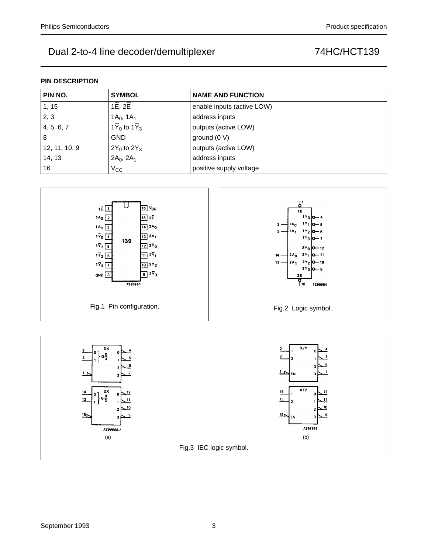#### **PIN DESCRIPTION**

| PIN NO.       | <b>SYMBOL</b>                           | <b>NAME AND FUNCTION</b>   |  |
|---------------|-----------------------------------------|----------------------------|--|
| 1, 15         | $1\overline{E}$ , $2\overline{E}$       | enable inputs (active LOW) |  |
| 2, 3          | $1A_0$ , $1A_1$                         | address inputs             |  |
| 4, 5, 6, 7    | $1\overline{Y}_0$ to $1\overline{Y}_3$  | outputs (active LOW)       |  |
| 8             | <b>GND</b>                              | ground $(0 V)$             |  |
| 12, 11, 10, 9 | $12\overline{Y}_0$ to $2\overline{Y}_3$ | outputs (active LOW)       |  |
| 14, 13        | $2A_0$ , $2A_1$                         | address inputs             |  |
| 16            | $V_{\rm CC}$                            | positive supply voltage    |  |



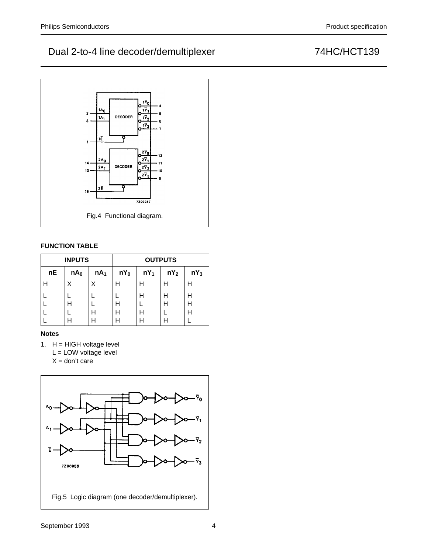

## **FUNCTION TABLE**

|                 | <b>INPUTS</b>   |                 | <b>OUTPUTS</b> |        |                           |   |  |  |  |
|-----------------|-----------------|-----------------|----------------|--------|---------------------------|---|--|--|--|
| $n\overline{E}$ | nA <sub>0</sub> | nA <sub>1</sub> | $nY_0$         | $nY_1$ | nY <sub>2</sub><br>$nY_3$ |   |  |  |  |
| н               | Χ               |                 | Н              | н      | н                         | Н |  |  |  |
|                 |                 |                 |                | Н      | н                         | Н |  |  |  |
|                 | Н               |                 | Н              |        | н                         | Н |  |  |  |
|                 |                 |                 | H              | Н      |                           | H |  |  |  |
|                 |                 | H               | Н              | н      | н                         |   |  |  |  |

### **Notes**

1. H = HIGH voltage level L = LOW voltage level  $X =$  don't care

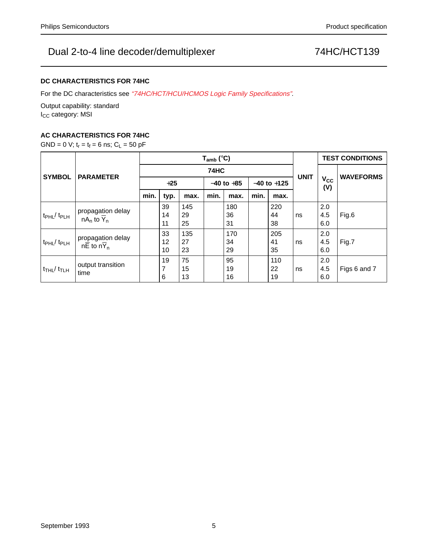## **DC CHARACTERISTICS FOR 74HC**

For the DC characteristics see "74HC/HCT/HCU/HCMOS Logic Family Specifications".

Output capability: standard I<sub>CC</sub> category: MSI

## **AC CHARACTERISTICS FOR 74HC**

GND = 0 V;  $t_r = t_f = 6$  ns;  $C_L = 50$  pF

|                                         | <b>PARAMETER</b>                                | $T_{amb}$ (°C) |                |                 |      |                 |      |                 |                     | <b>TEST CONDITIONS</b> |                  |
|-----------------------------------------|-------------------------------------------------|----------------|----------------|-----------------|------|-----------------|------|-----------------|---------------------|------------------------|------------------|
| <b>SYMBOL</b>                           |                                                 | <b>74HC</b>    |                |                 |      |                 |      |                 |                     |                        | <b>WAVEFORMS</b> |
|                                         |                                                 | $+25$          |                | $-40$ to $+85$  |      | $-40$ to $+125$ |      | <b>UNIT</b>     | $V_{\rm CC}$<br>(V) |                        |                  |
|                                         |                                                 | min.           | typ.           | max.            | min. | max.            | min. | max.            |                     |                        |                  |
| t <sub>PHL</sub> / t <sub>PLH</sub>     | propagation delay<br>$nA_n$ to $\overline{Y}_n$ |                | 39<br>14<br>11 | 145<br>29<br>25 |      | 180<br>36<br>31 |      | 220<br>44<br>38 | ns                  | 2.0<br>4.5<br>6.0      | Fig.6            |
| t <sub>PHL</sub> / t <sub>PLH</sub>     | propagation delay<br>$n\overline{E}$ to $nY_n$  |                | 33<br>12<br>10 | 135<br>27<br>23 |      | 170<br>34<br>29 |      | 205<br>41<br>35 | ns                  | 2.0<br>4.5<br>6.0      | Fig.7            |
| $t$ <sub>THL</sub> / $t$ <sub>TLH</sub> | output transition<br>time                       |                | 19<br>7<br>6   | 75<br>15<br>13  |      | 95<br>19<br>16  |      | 110<br>22<br>19 | ns                  | 2.0<br>4.5<br>6.0      | Figs 6 and 7     |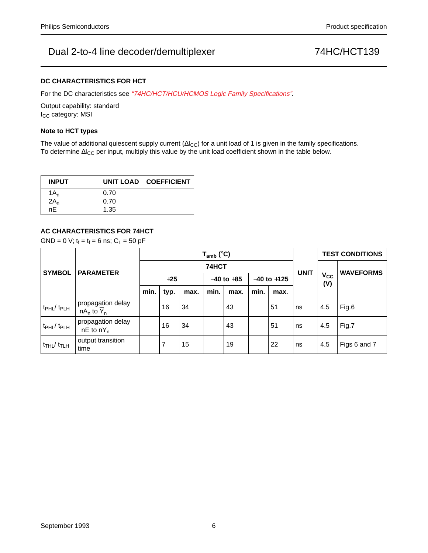### **DC CHARACTERISTICS FOR HCT**

For the DC characteristics see "74HC/HCT/HCU/HCMOS Logic Family Specifications".

Output capability: standard I<sub>CC</sub> category: MSI

#### **Note to HCT types**

The value of additional quiescent supply current ( $\Delta I_{CC}$ ) for a unit load of 1 is given in the family specifications. To determine ∆I<sub>CC</sub> per input, multiply this value by the unit load coefficient shown in the table below.

| <b>INPUT</b> |      | UNIT LOAD COEFFICIENT |
|--------------|------|-----------------------|
| $1A_n$       | 0.70 |                       |
| $2A_n$ nE    | 0.70 |                       |
|              | 1.35 |                       |

### **AC CHARACTERISTICS FOR 74HCT**

GND = 0 V;  $t_f = t_f = 6$  ns;  $C_L = 50$  pF

|                                        | <b>PARAMETER</b>                                          | $T_{amb}$ (°C) |                |                |      |                 |      |             |                        | <b>TEST CONDITIONS</b> |              |
|----------------------------------------|-----------------------------------------------------------|----------------|----------------|----------------|------|-----------------|------|-------------|------------------------|------------------------|--------------|
| <b>SYMBOL</b>                          |                                                           | 74HCT          |                |                |      |                 |      |             |                        |                        |              |
|                                        |                                                           | $+25$          |                | $-40$ to $+85$ |      | $-40$ to $+125$ |      | <b>UNIT</b> | V <sub>cc</sub><br>(V) | <b>WAVEFORMS</b>       |              |
|                                        |                                                           | min.           | typ.           | max.           | min. | max.            | min. | max.        |                        |                        |              |
| $t_{\rm PHL}$ / $t_{\rm PLH}$          | propagation delay<br>$nA_n$ to $Y_n$                      |                | 16             | 34             |      | 43              |      | 51          | ns                     | 4.5                    | Fig.6        |
| $t_{\rm PHL}/t_{\rm PLH}$              | propagation delay<br>$n\overline{E}$ to $n\overline{Y}_n$ |                | 16             | 34             |      | 43              |      | 51          | ns                     | 4.5                    | Fig.7        |
| $t$ <sub>THL</sub> $/t$ <sub>TLH</sub> | output transition<br>time                                 |                | $\overline{7}$ | 15             |      | 19              |      | 22          | ns                     | 4.5                    | Figs 6 and 7 |